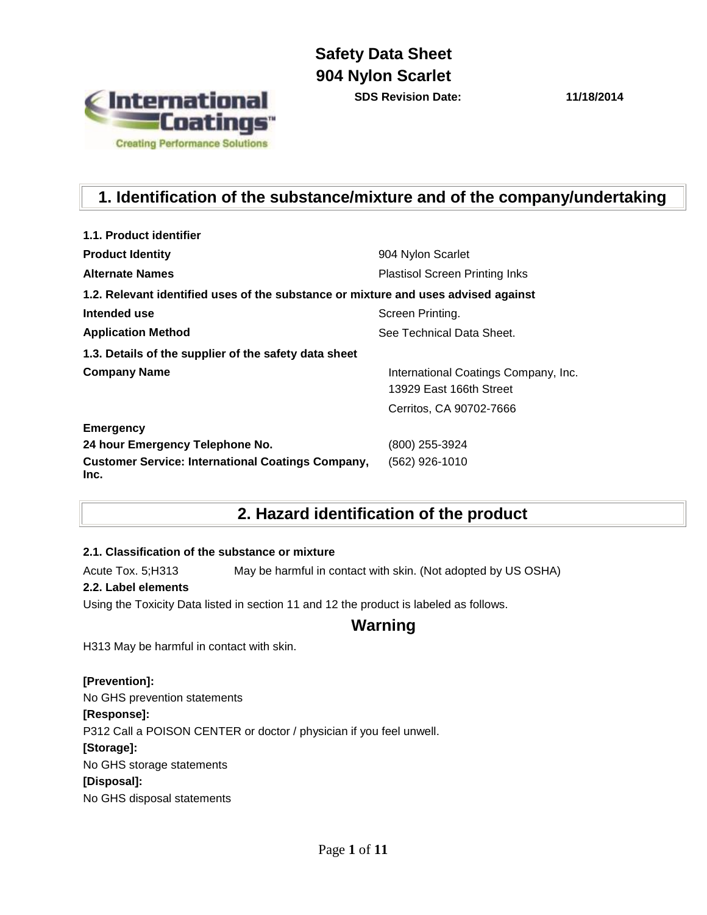

**SDS Revision Date: 11/18/2014**

# **1. Identification of the substance/mixture and of the company/undertaking**

| 1.1. Product identifier                                                            |                                                                 |
|------------------------------------------------------------------------------------|-----------------------------------------------------------------|
| <b>Product Identity</b>                                                            | 904 Nylon Scarlet                                               |
| <b>Alternate Names</b>                                                             | <b>Plastisol Screen Printing Inks</b>                           |
| 1.2. Relevant identified uses of the substance or mixture and uses advised against |                                                                 |
| Intended use                                                                       | Screen Printing.                                                |
| <b>Application Method</b>                                                          | See Technical Data Sheet.                                       |
| 1.3. Details of the supplier of the safety data sheet                              |                                                                 |
| <b>Company Name</b>                                                                | International Coatings Company, Inc.<br>13929 East 166th Street |
|                                                                                    | Cerritos, CA 90702-7666                                         |
| <b>Emergency</b>                                                                   |                                                                 |
| 24 hour Emergency Telephone No.                                                    | (800) 255-3924                                                  |
| <b>Customer Service: International Coatings Company,</b><br>Inc.                   | (562) 926-1010                                                  |

### **2. Hazard identification of the product**

### **2.1. Classification of the substance or mixture**

Acute Tox. 5;H313 May be harmful in contact with skin. (Not adopted by US OSHA)

### **2.2. Label elements**

Using the Toxicity Data listed in section 11 and 12 the product is labeled as follows.

### **Warning**

H313 May be harmful in contact with skin.

### **[Prevention]:**

No GHS prevention statements

### **[Response]:**

P312 Call a POISON CENTER or doctor / physician if you feel unwell.

#### **[Storage]:**

No GHS storage statements

### **[Disposal]:**

No GHS disposal statements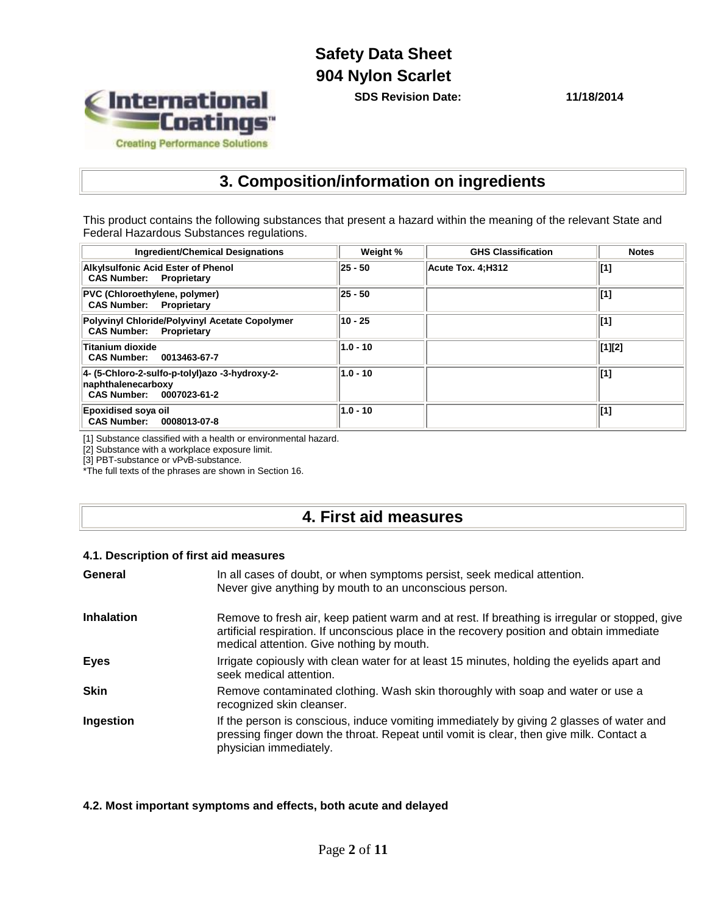International<br>"Coatings" **Creating Performance Solutions** 

**SDS Revision Date: 11/18/2014**

### **3. Composition/information on ingredients**

This product contains the following substances that present a hazard within the meaning of the relevant State and Federal Hazardous Substances regulations.

| <b>Ingredient/Chemical Designations</b>                                                          | Weight %    | <b>GHS Classification</b> | <b>Notes</b> |
|--------------------------------------------------------------------------------------------------|-------------|---------------------------|--------------|
| <b>Alkylsulfonic Acid Ester of Phenol</b><br><b>CAS Number: Proprietary</b>                      | $ 25 - 50 $ | Acute Tox. 4:H312         | [1]          |
| <b>PVC (Chloroethylene, polymer)</b><br><b>CAS Number:</b> Proprietary                           | $ 25 - 50 $ |                           | $\vert$ [1]  |
| Polyvinyl Chloride/Polyvinyl Acetate Copolymer<br><b>CAS Number: Proprietary</b>                 | 10 - 25     |                           | $\vert$ [1]  |
| Titanium dioxide<br>CAS Number: 0013463-67-7                                                     | $1.0 - 10$  |                           | [1][2]       |
| 4- (5-Chloro-2-sulfo-p-tolyl)azo -3-hydroxy-2-<br>naphthalenecarboxy<br>CAS Number: 0007023-61-2 | $1.0 - 10$  |                           | $\vert$ [1]  |
| <b>Epoxidised soya oil</b><br>CAS Number: 0008013-07-8                                           | $1.0 - 10$  |                           | [1]          |

[1] Substance classified with a health or environmental hazard.

[2] Substance with a workplace exposure limit.

[3] PBT-substance or vPvB-substance.

\*The full texts of the phrases are shown in Section 16.

### **4. First aid measures**

### **4.1. Description of first aid measures**

| General           | In all cases of doubt, or when symptoms persist, seek medical attention.<br>Never give anything by mouth to an unconscious person.                                                                                                        |
|-------------------|-------------------------------------------------------------------------------------------------------------------------------------------------------------------------------------------------------------------------------------------|
| <b>Inhalation</b> | Remove to fresh air, keep patient warm and at rest. If breathing is irregular or stopped, give<br>artificial respiration. If unconscious place in the recovery position and obtain immediate<br>medical attention. Give nothing by mouth. |
| <b>Eyes</b>       | Irrigate copiously with clean water for at least 15 minutes, holding the eyelids apart and<br>seek medical attention.                                                                                                                     |
| <b>Skin</b>       | Remove contaminated clothing. Wash skin thoroughly with soap and water or use a<br>recognized skin cleanser.                                                                                                                              |
| Ingestion         | If the person is conscious, induce vomiting immediately by giving 2 glasses of water and<br>pressing finger down the throat. Repeat until vomit is clear, then give milk. Contact a<br>physician immediately.                             |

### **4.2. Most important symptoms and effects, both acute and delayed**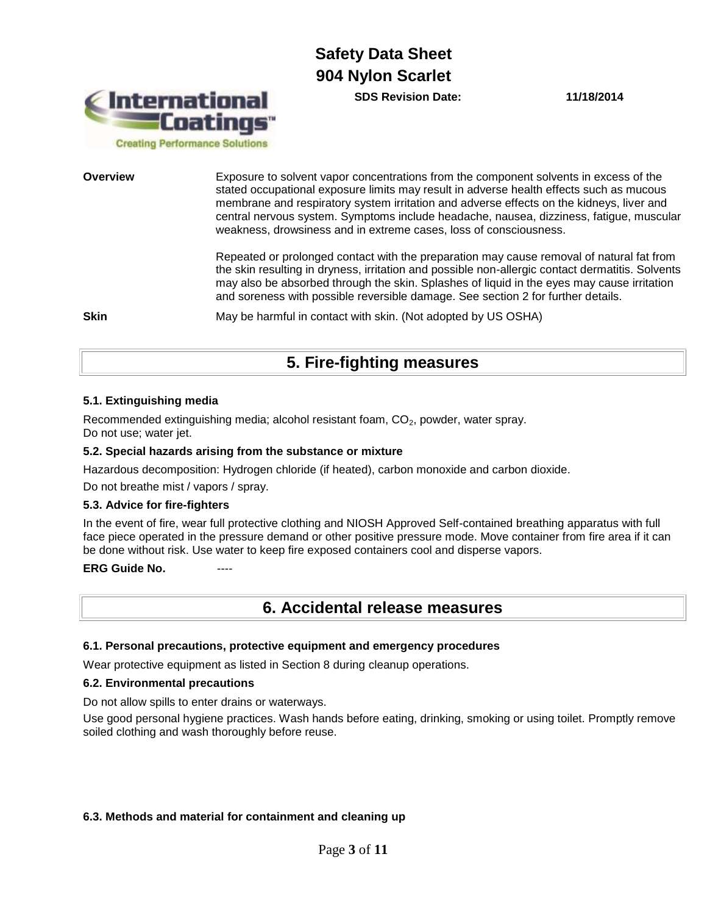International **Coatings Creating Performance Solutions** 

**SDS Revision Date: 11/18/2014**

**Overview Exposure to solvent vapor concentrations from the component solvents in excess of the** stated occupational exposure limits may result in adverse health effects such as mucous membrane and respiratory system irritation and adverse effects on the kidneys, liver and central nervous system. Symptoms include headache, nausea, dizziness, fatigue, muscular weakness, drowsiness and in extreme cases, loss of consciousness.

> Repeated or prolonged contact with the preparation may cause removal of natural fat from the skin resulting in dryness, irritation and possible non-allergic contact dermatitis. Solvents may also be absorbed through the skin. Splashes of liquid in the eyes may cause irritation and soreness with possible reversible damage. See section 2 for further details.

**Skin** May be harmful in contact with skin. (Not adopted by US OSHA)

### **5. Fire-fighting measures**

#### **5.1. Extinguishing media**

Recommended extinguishing media; alcohol resistant foam,  $CO<sub>2</sub>$ , powder, water spray. Do not use; water jet.

#### **5.2. Special hazards arising from the substance or mixture**

Hazardous decomposition: Hydrogen chloride (if heated), carbon monoxide and carbon dioxide.

Do not breathe mist / vapors / spray.

#### **5.3. Advice for fire-fighters**

In the event of fire, wear full protective clothing and NIOSH Approved Self-contained breathing apparatus with full face piece operated in the pressure demand or other positive pressure mode. Move container from fire area if it can be done without risk. Use water to keep fire exposed containers cool and disperse vapors.

### **ERG Guide No.**

### **6. Accidental release measures**

#### **6.1. Personal precautions, protective equipment and emergency procedures**

Wear protective equipment as listed in Section 8 during cleanup operations.

#### **6.2. Environmental precautions**

Do not allow spills to enter drains or waterways.

Use good personal hygiene practices. Wash hands before eating, drinking, smoking or using toilet. Promptly remove soiled clothing and wash thoroughly before reuse.

#### **6.3. Methods and material for containment and cleaning up**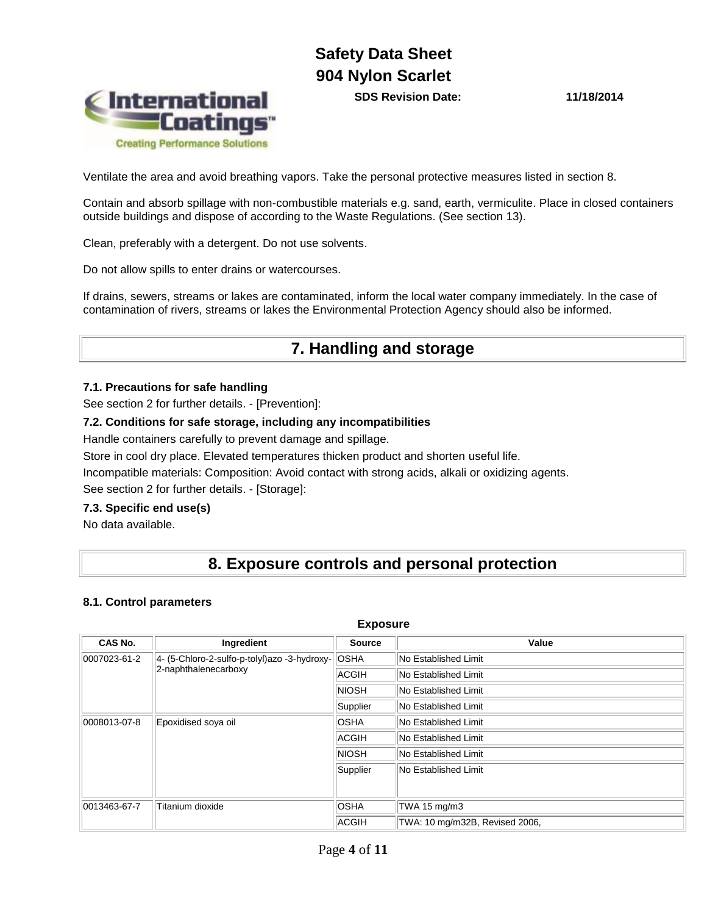**SDS Revision Date: 11/18/2014**



Ventilate the area and avoid breathing vapors. Take the personal protective measures listed in section 8.

Contain and absorb spillage with non-combustible materials e.g. sand, earth, vermiculite. Place in closed containers outside buildings and dispose of according to the Waste Regulations. (See section 13).

Clean, preferably with a detergent. Do not use solvents.

Do not allow spills to enter drains or watercourses.

If drains, sewers, streams or lakes are contaminated, inform the local water company immediately. In the case of contamination of rivers, streams or lakes the Environmental Protection Agency should also be informed.

### **7. Handling and storage**

### **7.1. Precautions for safe handling**

See section 2 for further details. - [Prevention]:

### **7.2. Conditions for safe storage, including any incompatibilities**

Handle containers carefully to prevent damage and spillage.

Store in cool dry place. Elevated temperatures thicken product and shorten useful life.

Incompatible materials: Composition: Avoid contact with strong acids, alkali or oxidizing agents.

See section 2 for further details. - [Storage]:

### **7.3. Specific end use(s)**

No data available.

### **8. Exposure controls and personal protection**

**Exposure**

#### **8.1. Control parameters**

| <u>LANVJUIV</u>                                                   |                      |               |                                |  |
|-------------------------------------------------------------------|----------------------|---------------|--------------------------------|--|
| CAS No.                                                           | Ingredient           | <b>Source</b> | Value                          |  |
| 4- (5-Chloro-2-sulfo-p-tolyl)azo -3-hydroxy- OSHA<br>0007023-61-2 |                      |               | No Established Limit           |  |
|                                                                   | 2-naphthalenecarboxy | ACGIH         | No Established Limit           |  |
|                                                                   |                      | <b>NIOSH</b>  | No Established Limit           |  |
|                                                                   |                      | Supplier      | No Established Limit           |  |
| 0008013-07-8<br>Epoxidised soya oil                               |                      | <b>OSHA</b>   | No Established Limit           |  |
|                                                                   |                      | ACGIH         | No Established Limit           |  |
|                                                                   |                      | <b>NIOSH</b>  | No Established Limit           |  |
|                                                                   |                      | Supplier      | No Established Limit           |  |
| 0013463-67-7                                                      | Titanium dioxide     | <b>OSHA</b>   | TWA 15 mg/m3                   |  |
|                                                                   |                      | ACGIH         | TWA: 10 mg/m32B, Revised 2006, |  |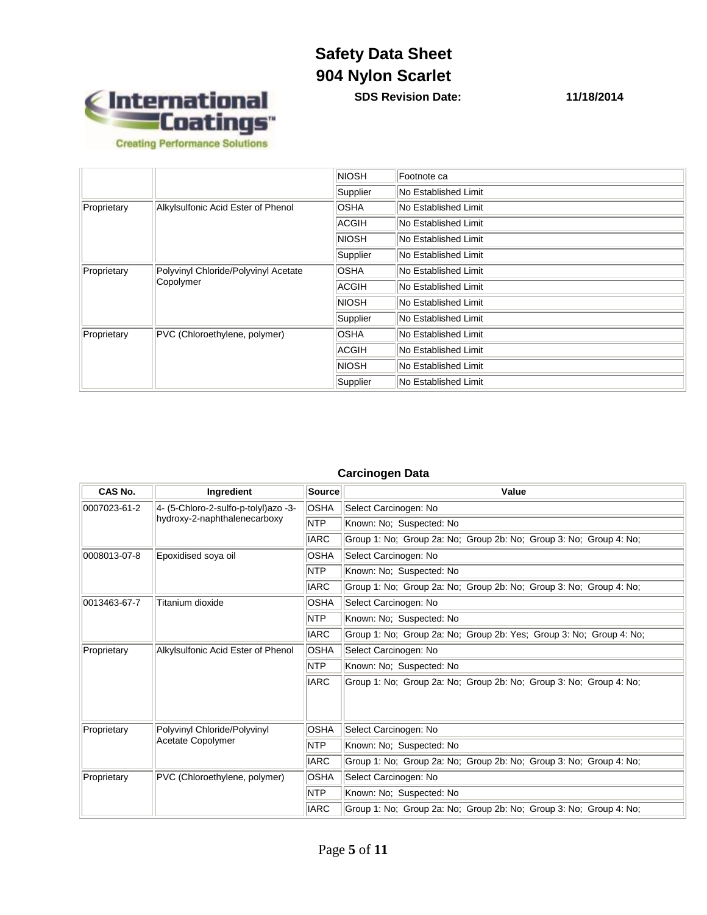

**SDS Revision Date: 11/18/2014**

|                                                                  |                               | <b>NIOSH</b>         | Footnote ca          |
|------------------------------------------------------------------|-------------------------------|----------------------|----------------------|
|                                                                  |                               | Supplier             | No Established Limit |
| Alkylsulfonic Acid Ester of Phenol<br>Proprietary                |                               | <b>OSHA</b>          | No Established Limit |
|                                                                  |                               | ACGIH                | No Established Limit |
|                                                                  |                               | <b>NIOSH</b>         | No Established Limit |
|                                                                  |                               | Supplier             | No Established Limit |
| Polyvinyl Chloride/Polyvinyl Acetate<br>Proprietary<br>Copolymer | <b>OSHA</b>                   | No Established Limit |                      |
|                                                                  | ACGIH                         | No Established Limit |                      |
|                                                                  |                               | <b>NIOSH</b>         | No Established Limit |
|                                                                  |                               | Supplier             | No Established Limit |
| Proprietary                                                      | PVC (Chloroethylene, polymer) | <b>OSHA</b>          | No Established Limit |
|                                                                  |                               | ACGIH                | No Established Limit |
|                                                                  |                               | <b>NIOSH</b>         | No Established Limit |
|                                                                  |                               | Supplier             | No Established Limit |

### **Carcinogen Data**

| CAS No.                      | Ingredient                           | Source      | Value                                                               |  |
|------------------------------|--------------------------------------|-------------|---------------------------------------------------------------------|--|
| 0007023-61-2                 | 4- (5-Chloro-2-sulfo-p-tolyl)azo -3- | <b>OSHA</b> | Select Carcinogen: No                                               |  |
| hydroxy-2-naphthalenecarboxy |                                      | <b>NTP</b>  | Known: No; Suspected: No                                            |  |
|                              |                                      | <b>IARC</b> | Group 1: No; Group 2a: No; Group 2b: No; Group 3: No; Group 4: No;  |  |
| 0008013-07-8                 | Epoxidised soya oil                  | <b>OSHA</b> | Select Carcinogen: No                                               |  |
|                              |                                      | <b>NTP</b>  | Known: No; Suspected: No                                            |  |
|                              |                                      | <b>IARC</b> | Group 1: No; Group 2a: No; Group 2b: No; Group 3: No; Group 4: No;  |  |
| 0013463-67-7                 | Titanium dioxide                     | <b>OSHA</b> | Select Carcinogen: No                                               |  |
|                              |                                      | <b>NTP</b>  | Known: No; Suspected: No                                            |  |
|                              |                                      | <b>IARC</b> | Group 1: No; Group 2a: No; Group 2b: Yes; Group 3: No; Group 4: No; |  |
| Proprietary                  | Alkylsulfonic Acid Ester of Phenol   | <b>OSHA</b> | Select Carcinogen: No                                               |  |
|                              |                                      | <b>NTP</b>  | Known: No; Suspected: No                                            |  |
|                              |                                      | <b>IARC</b> | Group 1: No; Group 2a: No; Group 2b: No; Group 3: No; Group 4: No;  |  |
| Proprietary                  | Polyvinyl Chloride/Polyvinyl         | OSHA        | Select Carcinogen: No                                               |  |
|                              | Acetate Copolymer                    | <b>NTP</b>  | Known: No; Suspected: No                                            |  |
|                              |                                      | <b>IARC</b> | Group 1: No; Group 2a: No; Group 2b: No; Group 3: No; Group 4: No;  |  |
| Proprietary                  | PVC (Chloroethylene, polymer)        | OSHA        | Select Carcinogen: No                                               |  |
| <b>NTP</b>                   |                                      |             | Known: No; Suspected: No                                            |  |
|                              |                                      | <b>IARC</b> | Group 1: No; Group 2a: No; Group 2b: No; Group 3: No; Group 4: No;  |  |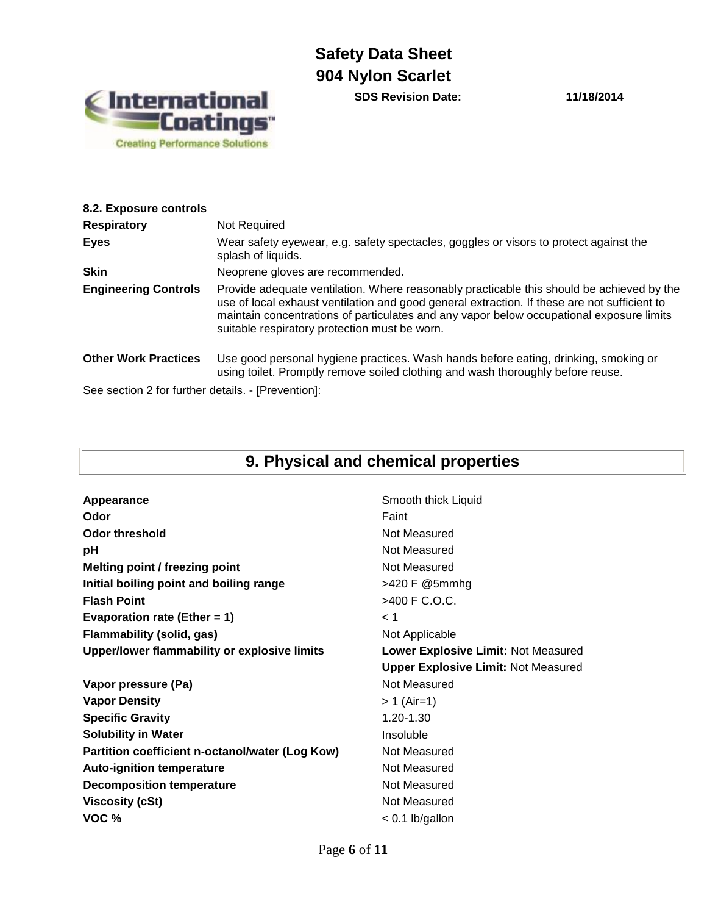

**SDS Revision Date: 11/18/2014**

| 8.2. Exposure controls                             |                                                                                                                                                                                                                                                                                                                                        |
|----------------------------------------------------|----------------------------------------------------------------------------------------------------------------------------------------------------------------------------------------------------------------------------------------------------------------------------------------------------------------------------------------|
| <b>Respiratory</b>                                 | Not Required                                                                                                                                                                                                                                                                                                                           |
| <b>Eyes</b>                                        | Wear safety eyewear, e.g. safety spectacles, goggles or visors to protect against the<br>splash of liquids.                                                                                                                                                                                                                            |
| <b>Skin</b>                                        | Neoprene gloves are recommended.                                                                                                                                                                                                                                                                                                       |
| <b>Engineering Controls</b>                        | Provide adequate ventilation. Where reasonably practicable this should be achieved by the<br>use of local exhaust ventilation and good general extraction. If these are not sufficient to<br>maintain concentrations of particulates and any vapor below occupational exposure limits<br>suitable respiratory protection must be worn. |
| <b>Other Work Practices</b>                        | Use good personal hygiene practices. Wash hands before eating, drinking, smoking or<br>using toilet. Promptly remove soiled clothing and wash thoroughly before reuse.                                                                                                                                                                 |
| See section 2 for further details. - [Prevention]: |                                                                                                                                                                                                                                                                                                                                        |

# **9. Physical and chemical properties**

| Appearance                                      | Smooth thick Liquid                        |  |
|-------------------------------------------------|--------------------------------------------|--|
| Odor                                            | Faint                                      |  |
| <b>Odor threshold</b>                           | Not Measured                               |  |
| рH                                              | Not Measured                               |  |
| Melting point / freezing point                  | Not Measured                               |  |
| Initial boiling point and boiling range         | >420 F @5mmhg                              |  |
| <b>Flash Point</b>                              | >400 F C.O.C.                              |  |
| Evaporation rate (Ether = $1$ )                 | < 1                                        |  |
| Flammability (solid, gas)                       | Not Applicable                             |  |
| Upper/lower flammability or explosive limits    | Lower Explosive Limit: Not Measured        |  |
|                                                 |                                            |  |
|                                                 | <b>Upper Explosive Limit: Not Measured</b> |  |
| Vapor pressure (Pa)                             | Not Measured                               |  |
| <b>Vapor Density</b>                            | $> 1$ (Air=1)                              |  |
| <b>Specific Gravity</b>                         | 1.20-1.30                                  |  |
| <b>Solubility in Water</b>                      | Insoluble                                  |  |
| Partition coefficient n-octanol/water (Log Kow) | Not Measured                               |  |
| <b>Auto-ignition temperature</b>                | Not Measured                               |  |
| <b>Decomposition temperature</b>                | Not Measured                               |  |
| <b>Viscosity (cSt)</b>                          | Not Measured                               |  |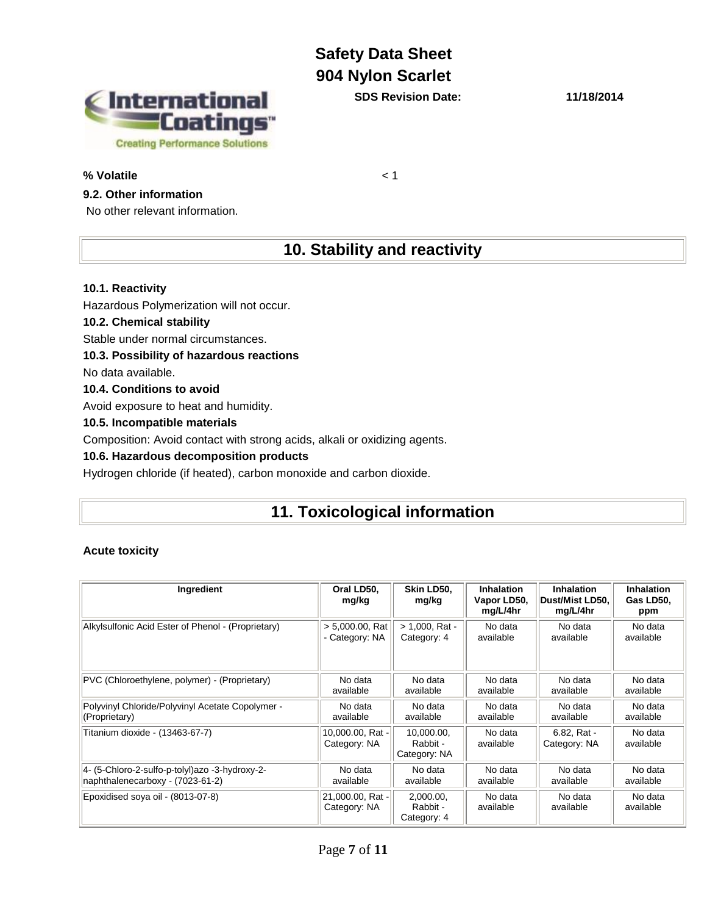International<br>"Coatings" **Creating Performance Solutions** 

### **% Volatile** < 1

### **9.2. Other information**

No other relevant information.

**SDS Revision Date: 11/18/2014**

## **10. Stability and reactivity**

### **10.1. Reactivity**

Hazardous Polymerization will not occur.

### **10.2. Chemical stability**

Stable under normal circumstances.

### **10.3. Possibility of hazardous reactions**

No data available.

### **10.4. Conditions to avoid**

Avoid exposure to heat and humidity.

### **10.5. Incompatible materials**

Composition: Avoid contact with strong acids, alkali or oxidizing agents.

### **10.6. Hazardous decomposition products**

Hydrogen chloride (if heated), carbon monoxide and carbon dioxide.

### **11. Toxicological information**

### **Acute toxicity**

| Ingredient                                         | Oral LD50.<br>mg/kg              | Skin LD50.<br>mg/kg                    | Inhalation<br>Vapor LD50,<br>mg/L/4hr | <b>Inhalation</b><br>Dust/Mist LD50,<br>mg/L/4hr | <b>Inhalation</b><br>Gas LD50,<br>ppm |
|----------------------------------------------------|----------------------------------|----------------------------------------|---------------------------------------|--------------------------------------------------|---------------------------------------|
| Alkylsulfonic Acid Ester of Phenol - (Proprietary) | $> 5,000.00$ , Rat               | $> 1,000$ , Rat -                      | No data                               | No data                                          | No data                               |
|                                                    | Category: NA                     | Category: 4                            | available                             | available                                        | available                             |
| PVC (Chloroethylene, polymer) - (Proprietary)      | No data                          | No data                                | No data                               | No data                                          | No data                               |
|                                                    | available                        | available                              | available                             | available                                        | available                             |
| Polyvinyl Chloride/Polyvinyl Acetate Copolymer -   | No data                          | No data                                | No data                               | No data                                          | No data                               |
| (Proprietary)                                      | available                        | available                              | available                             | available                                        | available                             |
| Titanium dioxide - (13463-67-7)                    | 10,000.00, Rat -<br>Category: NA | 10,000.00,<br>Rabbit -<br>Category: NA | No data<br>available                  | 6.82. Rat -<br>Category: NA                      | No data<br>available                  |
| 4- (5-Chloro-2-sulfo-p-tolyl) azo -3-hydroxy-2-    | No data                          | No data                                | No data                               | No data                                          | No data                               |
| naphthalenecarboxy - (7023-61-2)                   | available                        | available                              | available                             | available                                        | available                             |
| Epoxidised sova oil - (8013-07-8)                  | 21,000.00, Rat -<br>Category: NA | 2,000.00,<br>Rabbit -<br>Category: 4   | No data<br>available                  | No data<br>available                             | No data<br>available                  |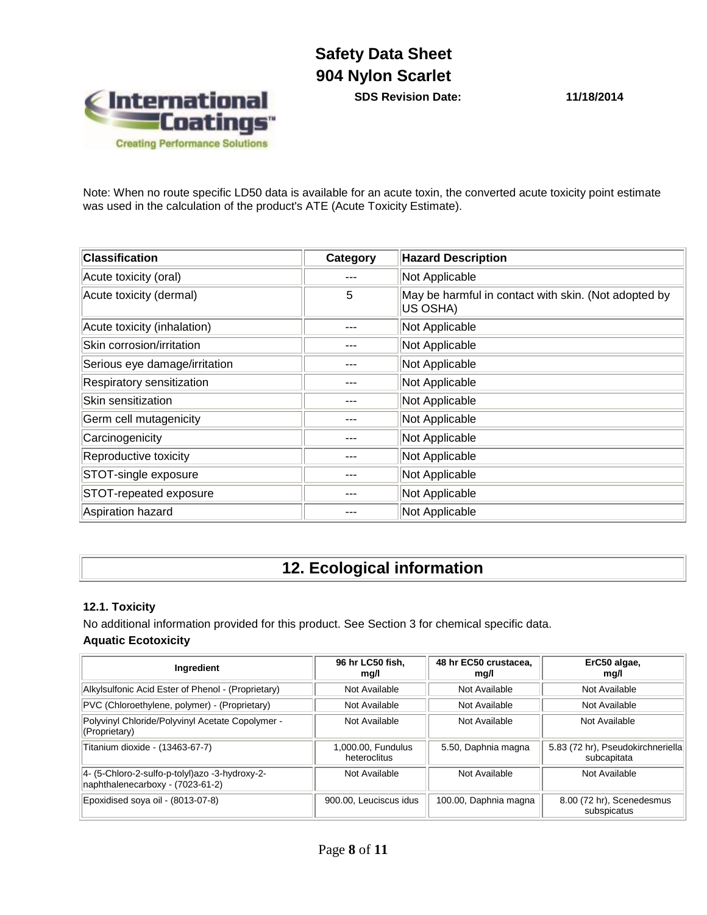

**SDS Revision Date: 11/18/2014**

Note: When no route specific LD50 data is available for an acute toxin, the converted acute toxicity point estimate was used in the calculation of the product's ATE (Acute Toxicity Estimate).

| <b>Classification</b>         | Category | <b>Hazard Description</b>                                        |
|-------------------------------|----------|------------------------------------------------------------------|
| Acute toxicity (oral)         |          | Not Applicable                                                   |
| Acute toxicity (dermal)       | 5        | May be harmful in contact with skin. (Not adopted by<br>US OSHA) |
| Acute toxicity (inhalation)   |          | Not Applicable                                                   |
| Skin corrosion/irritation     |          | Not Applicable                                                   |
| Serious eye damage/irritation |          | Not Applicable                                                   |
| Respiratory sensitization     |          | Not Applicable                                                   |
| Skin sensitization            |          | Not Applicable                                                   |
| Germ cell mutagenicity        |          | Not Applicable                                                   |
| Carcinogenicity               |          | Not Applicable                                                   |
| Reproductive toxicity         |          | Not Applicable                                                   |
| STOT-single exposure          |          | Not Applicable                                                   |
| STOT-repeated exposure        |          | Not Applicable                                                   |
| Aspiration hazard             |          | Not Applicable                                                   |

# **12. Ecological information**

#### **12.1. Toxicity**

No additional information provided for this product. See Section 3 for chemical specific data. **Aquatic Ecotoxicity**

| Ingredient                                                                          | 96 hr LC50 fish.<br>mg/l           | 48 hr EC50 crustacea.<br>mg/l | ErC50 algae,<br>mg/l                             |
|-------------------------------------------------------------------------------------|------------------------------------|-------------------------------|--------------------------------------------------|
| Alkylsulfonic Acid Ester of Phenol - (Proprietary)                                  | Not Available                      | Not Available                 | Not Available                                    |
| PVC (Chloroethylene, polymer) - (Proprietary)                                       | Not Available                      | Not Available                 | Not Available                                    |
| Polyvinyl Chloride/Polyvinyl Acetate Copolymer -<br>(Proprietary)                   | Not Available                      | Not Available                 | Not Available                                    |
| Titanium dioxide - (13463-67-7)                                                     | 1,000.00, Fundulus<br>heteroclitus | 5.50, Daphnia magna           | 5.83 (72 hr), Pseudokirchneriella<br>subcapitata |
| 4- (5-Chloro-2-sulfo-p-tolyl) azo -3-hydroxy-2-<br>naphthalenecarboxy - (7023-61-2) | Not Available                      | Not Available                 | Not Available                                    |
| Epoxidised soya oil - (8013-07-8)                                                   | 900.00, Leuciscus idus             | 100.00, Daphnia magna         | 8.00 (72 hr), Scenedesmus<br>subspicatus         |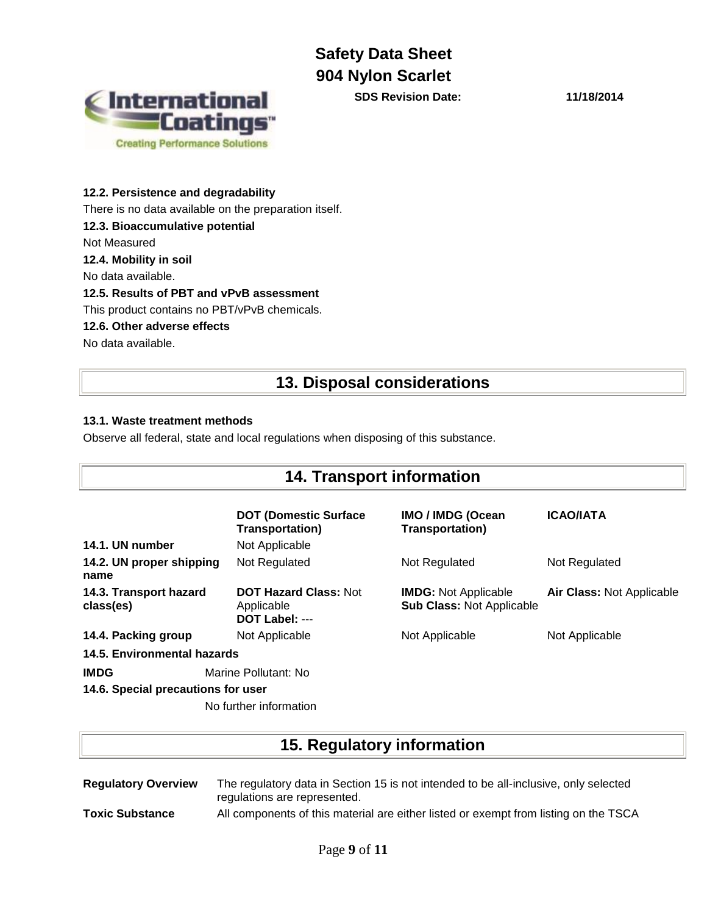

**SDS Revision Date: 11/18/2014**

### **12.2. Persistence and degradability**

There is no data available on the preparation itself.

**12.3. Bioaccumulative potential**

Not Measured

**12.4. Mobility in soil**

No data available.

### **12.5. Results of PBT and vPvB assessment**

This product contains no PBT/vPvB chemicals.

### **12.6. Other adverse effects**

No data available.

### **13. Disposal considerations**

### **13.1. Waste treatment methods**

Observe all federal, state and local regulations when disposing of this substance.

| <b>14. Transport information</b>    |                                                              |                                                                 |                           |  |
|-------------------------------------|--------------------------------------------------------------|-----------------------------------------------------------------|---------------------------|--|
|                                     | <b>DOT (Domestic Surface)</b><br><b>Transportation)</b>      | IMO / IMDG (Ocean<br><b>Transportation)</b>                     | <b>ICAO/IATA</b>          |  |
| 14.1. UN number                     | Not Applicable                                               |                                                                 |                           |  |
| 14.2. UN proper shipping<br>name    | Not Regulated                                                | Not Regulated                                                   | Not Regulated             |  |
| 14.3. Transport hazard<br>class(es) | <b>DOT Hazard Class: Not</b><br>Applicable<br>DOT Label: --- | <b>IMDG:</b> Not Applicable<br><b>Sub Class: Not Applicable</b> | Air Class: Not Applicable |  |
| 14.4. Packing group                 | Not Applicable                                               | Not Applicable                                                  | Not Applicable            |  |
| 14.5. Environmental hazards         |                                                              |                                                                 |                           |  |
| <b>IMDG</b>                         | Marine Pollutant: No                                         |                                                                 |                           |  |
| 14.6. Special precautions for user  |                                                              |                                                                 |                           |  |
|                                     |                                                              |                                                                 |                           |  |

No further information

### **15. Regulatory information**

| <b>Regulatory Overview</b> | The regulatory data in Section 15 is not intended to be all-inclusive, only selected<br>regulations are represented. |
|----------------------------|----------------------------------------------------------------------------------------------------------------------|
| <b>Toxic Substance</b>     | All components of this material are either listed or exempt from listing on the TSCA                                 |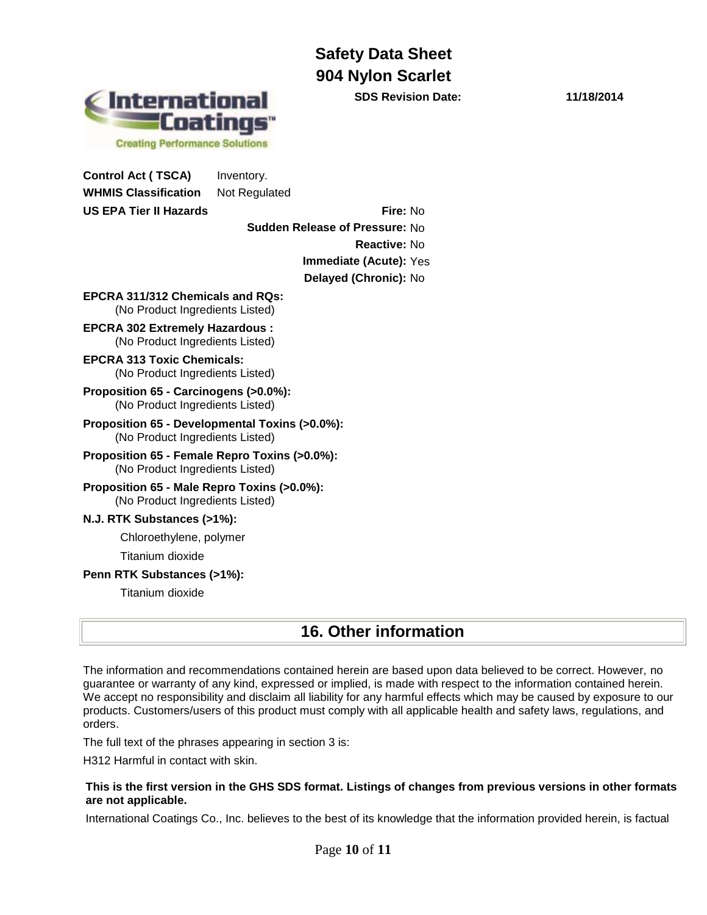**International 'Coatings" Creating Performance Solutions** 

**Control Act ( TSCA)** Inventory.

**WHMIS Classification** Not Regulated **US EPA Tier II Hazards Fire:** No

**Sudden Release of Pressure:** No **Reactive:** No **Immediate (Acute):** Yes **Delayed (Chronic):** No

**EPCRA 311/312 Chemicals and RQs:**  (No Product Ingredients Listed)

**EPCRA 302 Extremely Hazardous :** (No Product Ingredients Listed)

- **EPCRA 313 Toxic Chemicals:** (No Product Ingredients Listed)
- **Proposition 65 - Carcinogens (>0.0%):**  (No Product Ingredients Listed)
- **Proposition 65 - Developmental Toxins (>0.0%):** (No Product Ingredients Listed)
- **Proposition 65 - Female Repro Toxins (>0.0%):** (No Product Ingredients Listed)
- **Proposition 65 - Male Repro Toxins (>0.0%):** (No Product Ingredients Listed)

### **N.J. RTK Substances (>1%):**

Chloroethylene, polymer

Titanium dioxide

**Penn RTK Substances (>1%):**

Titanium dioxide

### **16. Other information**

The information and recommendations contained herein are based upon data believed to be correct. However, no guarantee or warranty of any kind, expressed or implied, is made with respect to the information contained herein. We accept no responsibility and disclaim all liability for any harmful effects which may be caused by exposure to our products. Customers/users of this product must comply with all applicable health and safety laws, regulations, and orders.

The full text of the phrases appearing in section 3 is:

H312 Harmful in contact with skin.

#### **This is the first version in the GHS SDS format. Listings of changes from previous versions in other formats are not applicable.**

International Coatings Co., Inc. believes to the best of its knowledge that the information provided herein, is factual

**SDS Revision Date: 11/18/2014**